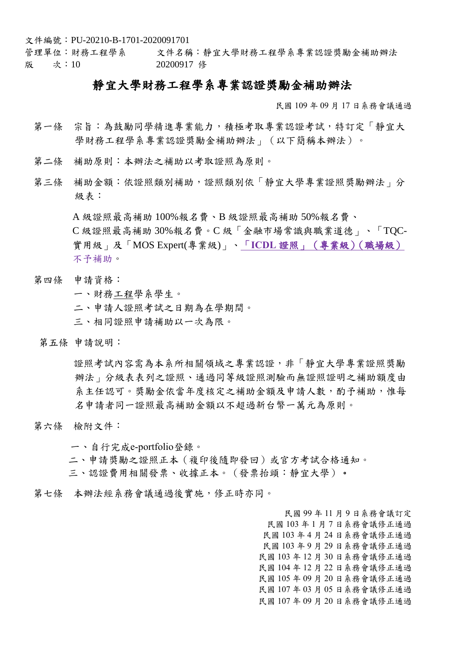文件編號:PU-20210-B-1701-2020091701

管理單位:財務工程學系 文件名稱:靜宜大學財務工程學系專業認證獎勵金補助辦法 版 次:10 20200917 修

## 靜宜大學財務工程學系專業認證獎勵金補助辦法

民國 109 年 09 月 17 日系務會議通過

- 第一條 宗旨:為鼓勵同學精進專業能力,積極考取專業認證考試,特訂定「靜宜大 學財務工程學系專業認證獎勵金補助辦法」(以下簡稱本辦法)。
- 第二條 補助原則:本辦法之補助以考取證照為原則。
- 第三條 補助金額:依證照類別補助,證照類別依「靜宜大學專業證照獎勵辦法」分 級表:

A 級證照最高補助 100%報名費、B 級證照最高補助 50%報名費、 C 級證照最高補助 30%報名費。C 級「金融市場常識與職業道德」、「TQC-實用級」及「MOS Expert(專業級)」、「**ICDL** 證照」(專業級)(職場級) 不予補助。

- 第四條 申請資格:
	- 一、財務工程學系學生。
	- 二、申請人證照考試之日期為在學期間。
	- 三、相同證照申請補助以一次為限。
- 第五條 申請說明:

證照考試內容需為本系所相關領域之專業認證,非「靜宜大學專業證照獎勵 辦法」分級表表列之證照、通過同等級證照測驗而無證照證明之補助額度由 系主任認可。獎勵金依當年度核定之補助金額及申請人數,酌予補助,惟每 名申請者同一證照最高補助金額以不超過新台幣一萬元為原則。

第六條 檢附文件:

一、自行完成e-portfolio登錄。

- 二、申請獎勵之證照正本(複印後隨即發回)或官方考試合格通知。
- 三、認證費用相關發票、收據正本。(發票抬頭:靜宜大學)。
- 第七條 本辦法經系務會議通過後實施,修正時亦同。

民國 99 年 11 月 9 日系務會議訂定 民國 103 年 1 月 7 日系務會議修正通過 民國 103 年 4 月 24 日系務會議修正通過 民國 103 年 9 月 29 日系務會議修正通過 民國 103 年 12 月 30 日系務會議修正通過 民國 104 年 12 月 22 日系務會議修正通過 民國 105 年 09 月 20 日系務會議修正通過 民國 107 年 03 月 05 日系務會議修正通過 民國 107 年 09 月 20 日系務會議修正通過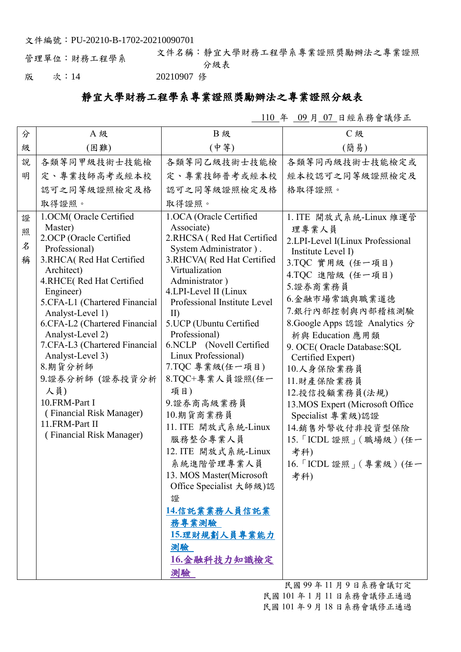文件編號:PU-20210-B-1702-20210090701

管理單位:財務工程學系 文件名稱:靜宜大學財務工程學系專業證照獎勵辦法之專業證照 分級表

版 次:14 20210907 修

## 靜宜大學財務工程學系專業證照獎勵辦法之專業證照分級表

110 年 09 月 07 日經系務會議修正

| (中等)<br>(簡易)<br>級<br>(困難)<br>說<br>各類等同甲級技術士技能檢<br>各類等同丙級技術士技能檢定或<br>各類等同乙級技術士技能檢<br>定、專業技師高考或經本校<br>定、專業技師普考或經本校<br>明<br>經本校認可之同等級證照檢定及<br>認可之同等級證照檢定及格<br>認可之同等級證照檢定及格<br>格取得證照。<br>取得證照。<br>取得證照。<br>1.OCM(Oracle Certified<br>1.OCA (Oracle Certified<br>1. ITE 開放式系統-Linux 維運管<br>證<br>Master)<br>Associate)<br>理專業人員<br>照<br>2.OCP (Oracle Certified<br>2.RHCSA (Red Hat Certified<br>2.LPI-Level I(Linux Professional<br>名<br>Professional)<br>System Administrator).<br>Institute Level I)<br>3.RHCA(Red Hat Certified<br>3.RHCVA(Red Hat Certified<br>稱<br>3.TQC 實用級 (任一項目)<br>Virtualization<br>Architect)<br>4.TQC 進階級 (任一項目)<br>4.RHCE(Red Hat Certified<br>Administrator)<br>5.證券商業務員<br>4.LPI-Level II (Linux<br>Engineer)<br>6.金融市場常識與職業道德<br>Professional Institute Level<br>5.CFA-L1 (Chartered Financial<br>7.銀行內部控制與內部稽核測驗<br>Analyst-Level 1)<br>$\rm{II}$<br>5.UCP (Ubuntu Certified<br>8. Google Apps 認證 Analytics 分<br>6.CFA-L2 (Chartered Financial<br>Analyst-Level 2)<br>Professional)<br>析與 Education 應用類<br>7.CFA-L3 (Chartered Financial<br>6.NCLP (Novell Certified<br>9. OCE(Oracle Database:SQL<br>Linux Professional)<br>Analyst-Level 3)<br>Certified Expert)<br>8.期貨分析師<br>7.TQC 專業級(任一項目)<br>10.人身保險業務員<br>8.TQC+專業人員證照(任一<br>9.證券分析師 (證券投資分析<br>11.財產保險業務員<br>人員)<br>項目)<br>12.投信投顧業務員(法規)<br>10.FRM-Part I<br>9.證券商高級業務員<br>13.MOS Expert (Microsoft Office<br>(Financial Risk Manager)<br>10.期貨商業務員<br>Specialist 專業級)認證<br>11.FRM-Part II<br>11. ITE 開放式系統-Linux<br>14. 銷售外幣收付非投資型保險<br>(Financial Risk Manager)<br>服務整合專業人員<br>12. ITE 開放式系統-Linux<br>考科)<br>系統進階管理專業人員<br>13. MOS Master(Microsoft<br>考科)<br>Office Specialist 大師級)認<br>證<br>14.信託業業務人員信託業<br>務專業測驗<br>15.理財規劃人員專業能力<br>測驗 | 分 | A 級 | <b>B級</b> | <b>C级</b>                                      |
|-------------------------------------------------------------------------------------------------------------------------------------------------------------------------------------------------------------------------------------------------------------------------------------------------------------------------------------------------------------------------------------------------------------------------------------------------------------------------------------------------------------------------------------------------------------------------------------------------------------------------------------------------------------------------------------------------------------------------------------------------------------------------------------------------------------------------------------------------------------------------------------------------------------------------------------------------------------------------------------------------------------------------------------------------------------------------------------------------------------------------------------------------------------------------------------------------------------------------------------------------------------------------------------------------------------------------------------------------------------------------------------------------------------------------------------------------------------------------------------------------------------------------------------------------------------------------------------------------------------------------------------------------------------------------------------------------------------------------------------|---|-----|-----------|------------------------------------------------|
|                                                                                                                                                                                                                                                                                                                                                                                                                                                                                                                                                                                                                                                                                                                                                                                                                                                                                                                                                                                                                                                                                                                                                                                                                                                                                                                                                                                                                                                                                                                                                                                                                                                                                                                                     |   |     |           |                                                |
|                                                                                                                                                                                                                                                                                                                                                                                                                                                                                                                                                                                                                                                                                                                                                                                                                                                                                                                                                                                                                                                                                                                                                                                                                                                                                                                                                                                                                                                                                                                                                                                                                                                                                                                                     |   |     |           |                                                |
|                                                                                                                                                                                                                                                                                                                                                                                                                                                                                                                                                                                                                                                                                                                                                                                                                                                                                                                                                                                                                                                                                                                                                                                                                                                                                                                                                                                                                                                                                                                                                                                                                                                                                                                                     |   |     |           |                                                |
|                                                                                                                                                                                                                                                                                                                                                                                                                                                                                                                                                                                                                                                                                                                                                                                                                                                                                                                                                                                                                                                                                                                                                                                                                                                                                                                                                                                                                                                                                                                                                                                                                                                                                                                                     |   |     |           |                                                |
|                                                                                                                                                                                                                                                                                                                                                                                                                                                                                                                                                                                                                                                                                                                                                                                                                                                                                                                                                                                                                                                                                                                                                                                                                                                                                                                                                                                                                                                                                                                                                                                                                                                                                                                                     |   |     |           |                                                |
| 16.金融科技力知識檢定<br>測驗                                                                                                                                                                                                                                                                                                                                                                                                                                                                                                                                                                                                                                                                                                                                                                                                                                                                                                                                                                                                                                                                                                                                                                                                                                                                                                                                                                                                                                                                                                                                                                                                                                                                                                                  |   |     |           | 15. 「ICDL 證照」(職場級)(任一<br>16. 「ICDL 證照」(專業級)(任一 |

民國 99 年 11 月 9 日系務會議訂定 民國 101 年 1 月 11 日系務會議修正通過 民國 101 年 9 月 18 日系務會議修正通過